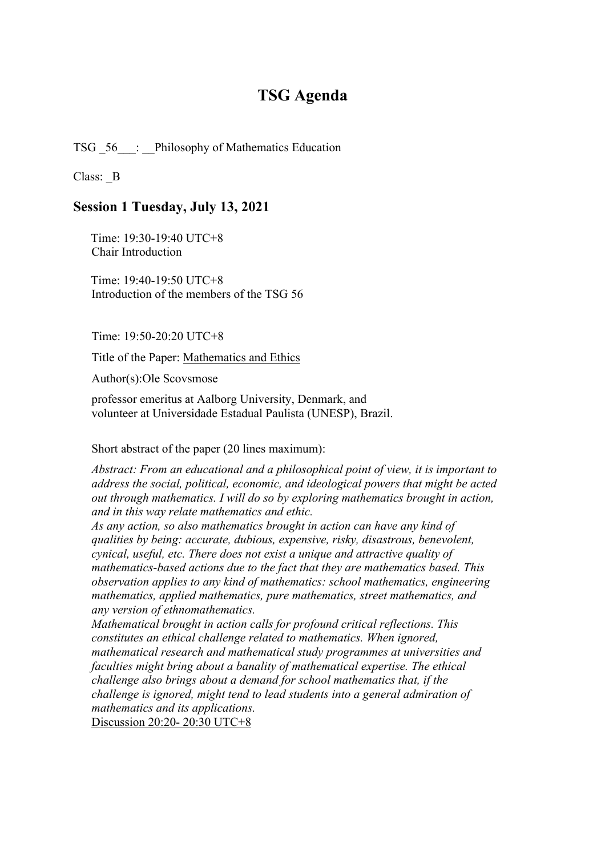# **TSG Agenda**

TSG  $56$ : Philosophy of Mathematics Education

Class: B

#### **Session 1 Tuesday, July 13, 2021**

Time: 19:30-19:40 UTC+8 Chair Introduction

Time: 19:40-19:50 UTC+8 Introduction of the members of the TSG 56

Time: 19:50-20:20 UTC+8

Title of the Paper: Mathematics and Ethics

Author(s):Ole Scovsmose

professor emeritus at Aalborg University, Denmark, and volunteer at Universidade Estadual Paulista (UNESP), Brazil.

Short abstract of the paper (20 lines maximum):

*Abstract: From an educational and a philosophical point of view, it is important to address the social, political, economic, and ideological powers that might be acted out through mathematics. I will do so by exploring mathematics brought in action, and in this way relate mathematics and ethic.*

*As any action, so also mathematics brought in action can have any kind of qualities by being: accurate, dubious, expensive, risky, disastrous, benevolent, cynical, useful, etc. There does not exist a unique and attractive quality of mathematics-based actions due to the fact that they are mathematics based. This observation applies to any kind of mathematics: school mathematics, engineering mathematics, applied mathematics, pure mathematics, street mathematics, and any version of ethnomathematics.*

*Mathematical brought in action calls for profound critical reflections. This constitutes an ethical challenge related to mathematics. When ignored, mathematical research and mathematical study programmes at universities and faculties might bring about a banality of mathematical expertise. The ethical challenge also brings about a demand for school mathematics that, if the challenge is ignored, might tend to lead students into a general admiration of mathematics and its applications.*

Discussion 20:20- 20:30 UTC+8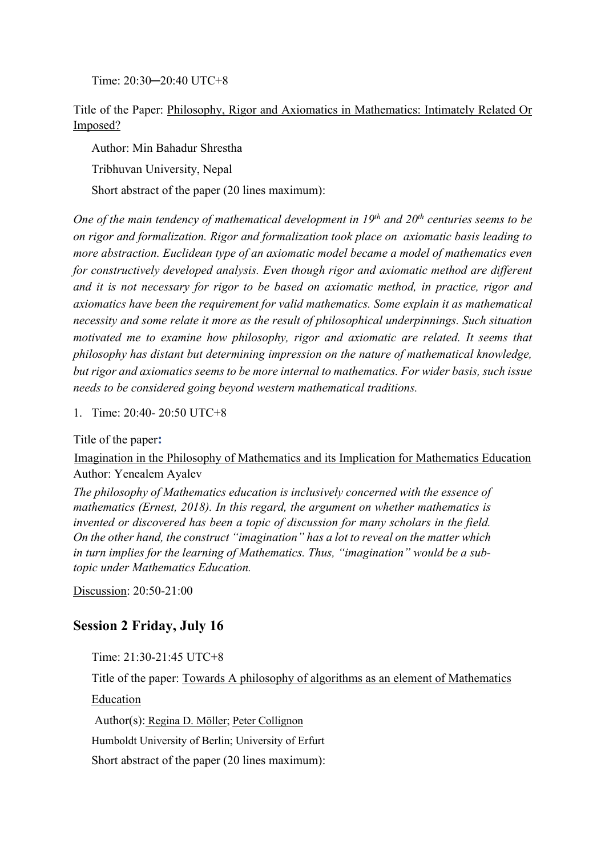Time: 20:30─20:40 UTC+8

Title of the Paper: Philosophy, Rigor and Axiomatics in Mathematics: Intimately Related Or Imposed?

Author: Min Bahadur Shrestha

Tribhuvan University, Nepal

Short abstract of the paper (20 lines maximum):

*One of the main tendency of mathematical development in 19th and 20th centuries seems to be on rigor and formalization. Rigor and formalization took place on axiomatic basis leading to more abstraction. Euclidean type of an axiomatic model became a model of mathematics even for constructively developed analysis. Even though rigor and axiomatic method are different and it is not necessary for rigor to be based on axiomatic method, in practice, rigor and axiomatics have been the requirement for valid mathematics. Some explain it as mathematical necessity and some relate it more as the result of philosophical underpinnings. Such situation motivated me to examine how philosophy, rigor and axiomatic are related. It seems that philosophy has distant but determining impression on the nature of mathematical knowledge, but rigor and axiomatics seems to be more internal to mathematics. For wider basis, such issue needs to be considered going beyond western mathematical traditions.* 

1. Time: 20:40- 20:50 UTC+8

Title of the paper**:**

Imagination in the Philosophy of Mathematics and its Implication for Mathematics Education Author: Yenealem Ayalev

*The philosophy of Mathematics education is inclusively concerned with the essence of mathematics (Ernest, 2018). In this regard, the argument on whether mathematics is invented or discovered has been a topic of discussion for many scholars in the field. On the other hand, the construct "imagination" has a lot to reveal on the matter which in turn implies for the learning of Mathematics. Thus, "imagination" would be a subtopic under Mathematics Education.* 

Discussion: 20:50-21:00

## **Session 2 Friday, July 16**

Time: 21:30-21:45 UTC+8

Title of the paper: Towards A philosophy of algorithms as an element of Mathematics

Education

Author(s): Regina D. Möller; Peter Collignon

Humboldt University of Berlin; University of Erfurt

Short abstract of the paper (20 lines maximum):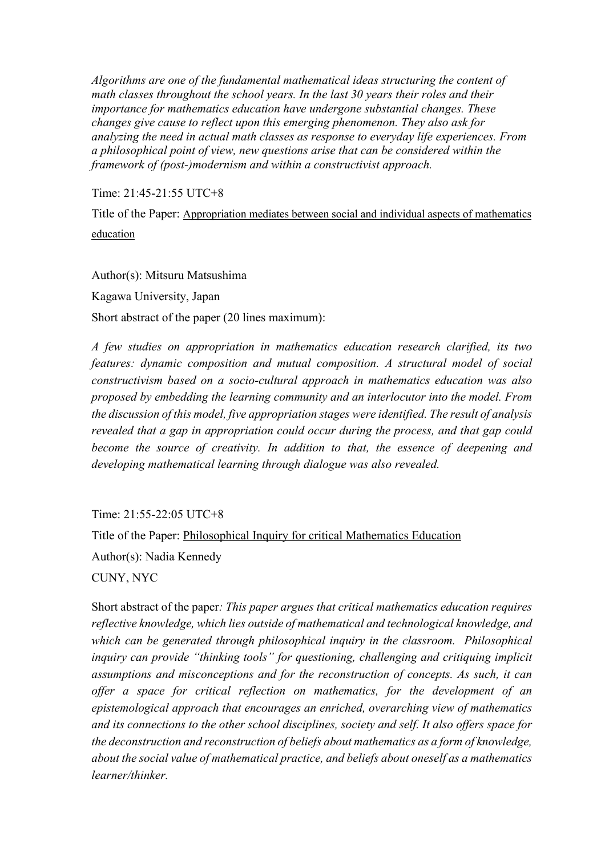*Algorithms are one of the fundamental mathematical ideas structuring the content of math classes throughout the school years. In the last 30 years their roles and their importance for mathematics education have undergone substantial changes. These changes give cause to reflect upon this emerging phenomenon. They also ask for analyzing the need in actual math classes as response to everyday life experiences. From a philosophical point of view, new questions arise that can be considered within the framework of (post-)modernism and within a constructivist approach.*

Time: 21:45-21:55 UTC+8

Title of the Paper: Appropriation mediates between social and individual aspects of mathematics education

Author(s): Mitsuru Matsushima Kagawa University, Japan Short abstract of the paper (20 lines maximum):

*A few studies on appropriation in mathematics education research clarified, its two features: dynamic composition and mutual composition. A structural model of social constructivism based on a socio-cultural approach in mathematics education was also proposed by embedding the learning community and an interlocutor into the model. From the discussion of this model, five appropriation stages were identified. The result of analysis revealed that a gap in appropriation could occur during the process, and that gap could become the source of creativity. In addition to that, the essence of deepening and developing mathematical learning through dialogue was also revealed.*

Time: 21:55-22:05 UTC+8

Title of the Paper: Philosophical Inquiry for critical Mathematics Education

Author(s): Nadia Kennedy

CUNY, NYC

Short abstract of the paper*: This paper argues that critical mathematics education requires reflective knowledge, which lies outside of mathematical and technological knowledge, and which can be generated through philosophical inquiry in the classroom. Philosophical inquiry can provide "thinking tools" for questioning, challenging and critiquing implicit assumptions and misconceptions and for the reconstruction of concepts. As such, it can offer a space for critical reflection on mathematics, for the development of an epistemological approach that encourages an enriched, overarching view of mathematics and its connections to the other school disciplines, society and self. It also offers space for the deconstruction and reconstruction of beliefs about mathematics as a form of knowledge, about the social value of mathematical practice, and beliefs about oneself as a mathematics learner/thinker.*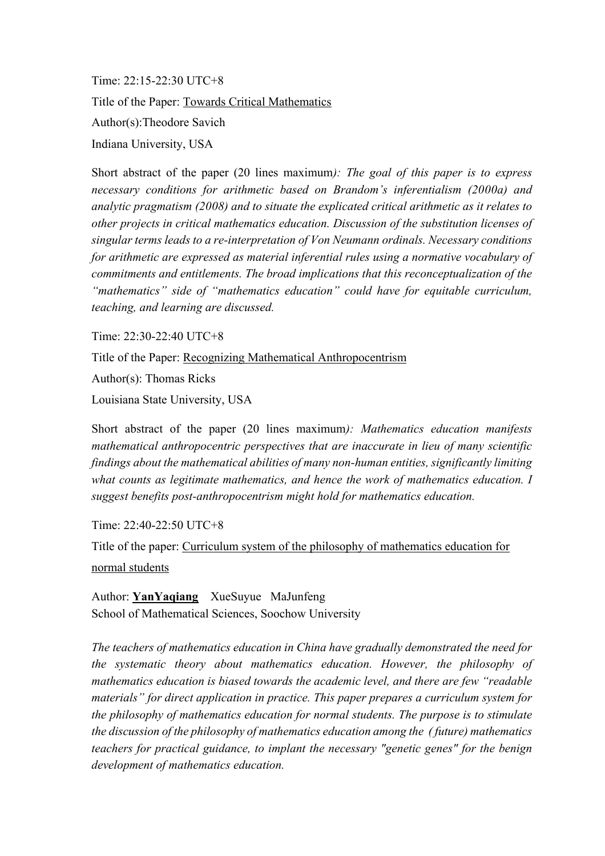Time: 22:15-22:30 UTC+8 Title of the Paper: Towards Critical Mathematics Author(s):Theodore Savich Indiana University, USA

Short abstract of the paper (20 lines maximum*): The goal of this paper is to express necessary conditions for arithmetic based on Brandom's inferentialism (2000a) and analytic pragmatism (XSSY) and to situate the explicated critical arithmetic as it relates to other projects in critical mathematics education. Discussion of the substitution licenses of singular terms leads to a re-interpretation of Von Neumann ordinals. Necessary conditions for arithmetic are expressed as material inferential rules using a normative vocabulary of commitments and entitlements. The broad implications that this reconceptualization of the "mathematics" side of "mathematics education" could have for equitable curriculum, teaching, and learning are discussed.* 

Time: 22:30-22:40 UTC+8

Title of the Paper: Recognizing Mathematical Anthropocentrism

Author(s): Thomas Ricks

Louisiana State University, USA

Short abstract of the paper (20 lines maximum*): Mathematics education manifests mathematical anthropocentric perspectives that are inaccurate in lieu of many scientific findings about the mathematical abilities of many non-human entities, significantly limiting what counts as legitimate mathematics, and hence the work of mathematics education. I suggest benefits post-anthropocentrism might hold for mathematics education.*

Time: 22:40-22:50 UTC+8

Title of the paper: Curriculum system of the philosophy of mathematics education for normal students

Author: **YanYaqiang** XueSuyue MaJunfeng School of Mathematical Sciences, Soochow University

*The teachers of mathematics education in China have gradually demonstrated the need for the systematic theory about mathematics education. However, the philosophy of mathematics education is biased towards the academic level, and there are few "readable materials" for direct application in practice. This paper prepares a curriculum system for the philosophy of mathematics education for normal students. The purpose is to stimulate the discussion of the philosophy of mathematics education among the ( future) mathematics teachers for practical guidance, to implant the necessary "genetic genes" for the benign development of mathematics education.*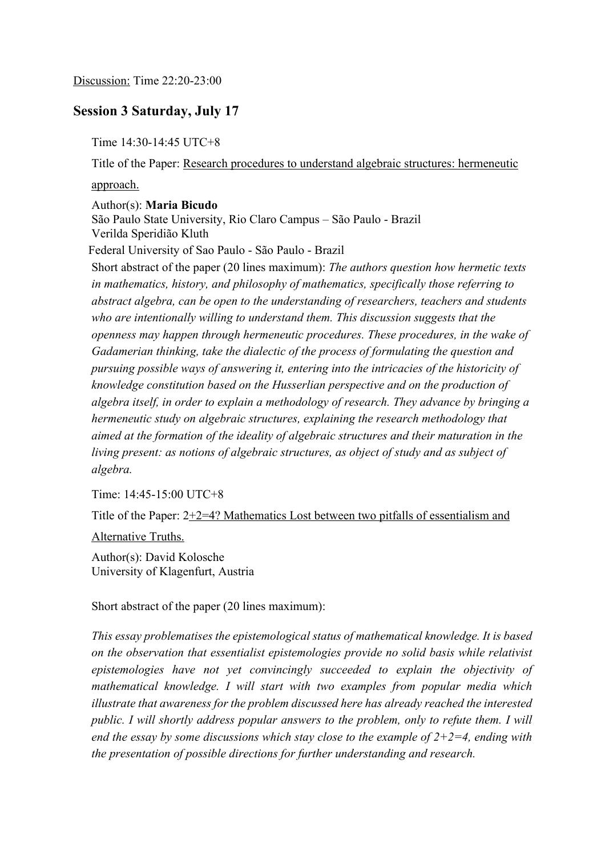### **Session 3 Saturday, July 17**

Time 14:30-14:45 UTC+8

Title of the Paper: Research procedures to understand algebraic structures: hermeneutic approach.

Author(s): **Maria Bicudo**

 São Paulo State University, Rio Claro Campus – São Paulo - Brazil Verilda Speridião Kluth

Federal University of Sao Paulo - São Paulo - Brazil

 Short abstract of the paper (20 lines maximum): *The authors question how hermetic texts in mathematics, history, and philosophy of mathematics, specifically those referring to abstract algebra, can be open to the understanding of researchers, teachers and students who are intentionally willing to understand them. This discussion suggests that the openness may happen through hermeneutic procedures. These procedures, in the wake of Gadamerian thinking, take the dialectic of the process of formulating the question and pursuing possible ways of answering it, entering into the intricacies of the historicity of knowledge constitution based on the Husserlian perspective and on the production of algebra itself, in order to explain a methodology of research. They advance by bringing a hermeneutic study on algebraic structures, explaining the research methodology that aimed at the formation of the ideality of algebraic structures and their maturation in the living present: as notions of algebraic structures, as object of study and as subject of algebra.*

Time: 14:45-15:00 UTC+8

Title of the Paper:  $2+2=4$ ? Mathematics Lost between two pitfalls of essentialism and

Alternative Truths.

Author(s): David Kolosche University of Klagenfurt, Austria

Short abstract of the paper (20 lines maximum):

*This essay problematises the epistemological status of mathematical knowledge. It is based on the observation that essentialist epistemologies provide no solid basis while relativist epistemologies have not yet convincingly succeeded to explain the objectivity of mathematical knowledge. I will start with two examples from popular media which illustrate that awareness for the problem discussed here has already reached the interested public. I will shortly address popular answers to the problem, only to refute them. I will end the essay by some discussions which stay close to the example of*  $2+2=4$ *, ending with the presentation of possible directions for further understanding and research.*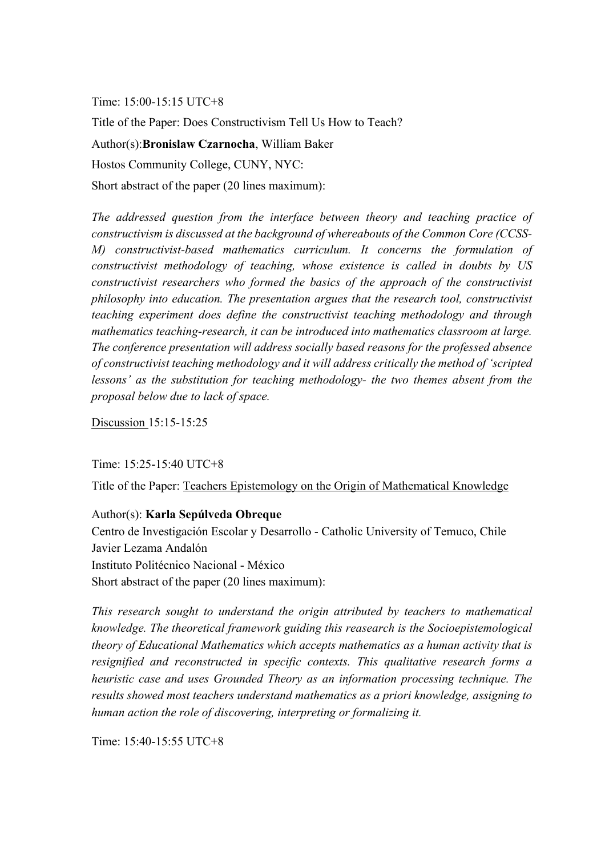Time: 15:00-15:15 UTC+8

Title of the Paper: Does Constructivism Tell Us How to Teach? Author(s):**Bronislaw Czarnocha**, William Baker Hostos Community College, CUNY, NYC: Short abstract of the paper (20 lines maximum):

*The addressed question from the interface between theory and teaching practice of constructivism is discussed at the background of whereabouts of the Common Core (CCSS-M) constructivist-based mathematics curriculum. It concerns the formulation of constructivist methodology of teaching, whose existence is called in doubts by US constructivist researchers who formed the basics of the approach of the constructivist* 

*philosophy into education. The presentation argues that the research tool, constructivist teaching experiment does define the constructivist teaching methodology and through mathematics teaching-research, it can be introduced into mathematics classroom at large. The conference presentation will address socially based reasons for the professed absence of constructivist teaching methodology and it will address critically the method of 'scripted lessons' as the substitution for teaching methodology- the two themes absent from the proposal below due to lack of space.* 

Discussion 15:15-15:25

Time: 15:25-15:40 UTC+8

Title of the Paper: Teachers Epistemology on the Origin of Mathematical Knowledge

#### Author(s): **Karla Sepúlveda Obreque**

 Centro de Investigación Escolar y Desarrollo - Catholic University of Temuco, Chile Javier Lezama Andalón Instituto Politécnico Nacional - México Short abstract of the paper (20 lines maximum):

*This research sought to understand the origin attributed by teachers to mathematical knowledge. The theoretical framework guiding this reasearch is the Socioepistemological theory of Educational Mathematics which accepts mathematics as a human activity that is resignified and reconstructed in specific contexts. This qualitative research forms a heuristic case and uses Grounded Theory as an information processing technique. The results showed most teachers understand mathematics as a priori knowledge, assigning to human action the role of discovering, interpreting or formalizing it.*

Time: 15:40-15:55 UTC+8